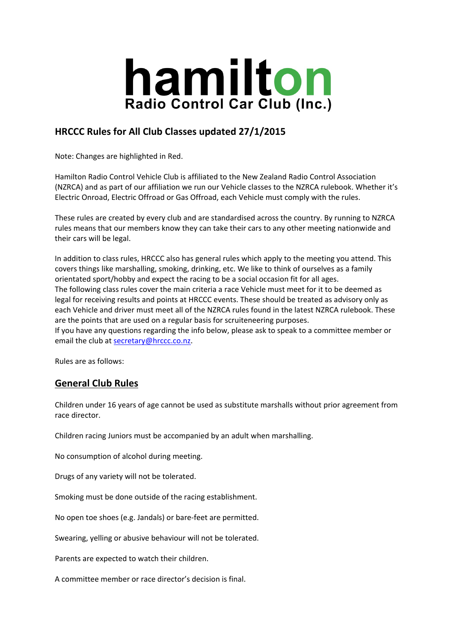

## **HRCCC Rules for All Club Classes updated 27/1/2015**

Note: Changes are highlighted in Red.

Hamilton Radio Control Vehicle Club is affiliated to the New Zealand Radio Control Association (NZRCA) and as part of our affiliation we run our Vehicle classes to the NZRCA rulebook. Whether it's Electric Onroad, Electric Offroad or Gas Offroad, each Vehicle must comply with the rules.

These rules are created by every club and are standardised across the country. By running to NZRCA rules means that our members know they can take their cars to any other meeting nationwide and their cars will be legal.

In addition to class rules, HRCCC also has general rules which apply to the meeting you attend. This covers things like marshalling, smoking, drinking, etc. We like to think of ourselves as a family orientated sport/hobby and expect the racing to be a social occasion fit for all ages. The following class rules cover the main criteria a race Vehicle must meet for it to be deemed as legal for receiving results and points at HRCCC events. These should be treated as advisory only as each Vehicle and driver must meet all of the NZRCA rules found in the latest NZRCA rulebook. These are the points that are used on a regular basis for scruiteneering purposes. If you have any questions regarding the info below, please ask to speak to a committee member or

email the club at secretary@hrccc.co.nz.

Rules are as follows:

## **General Club Rules**

Children under 16 years of age cannot be used as substitute marshalls without prior agreement from race director.

Children racing Juniors must be accompanied by an adult when marshalling.

No consumption of alcohol during meeting.

Drugs of any variety will not be tolerated.

Smoking must be done outside of the racing establishment.

No open toe shoes (e.g. Jandals) or bare‐feet are permitted.

Swearing, yelling or abusive behaviour will not be tolerated.

Parents are expected to watch their children.

A committee member or race director's decision is final.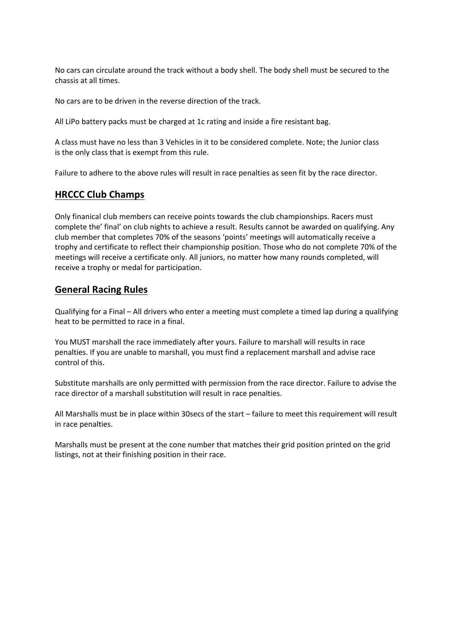No cars can circulate around the track without a body shell. The body shell must be secured to the chassis at all times.

No cars are to be driven in the reverse direction of the track.

All LiPo battery packs must be charged at 1c rating and inside a fire resistant bag.

A class must have no less than 3 Vehicles in it to be considered complete. Note; the Junior class is the only class that is exempt from this rule.

Failure to adhere to the above rules will result in race penalties as seen fit by the race director.

#### **HRCCC Club Champs**

Only finanical club members can receive points towards the club championships. Racers must complete the' final' on club nights to achieve a result. Results cannot be awarded on qualifying. Any club member that completes 70% of the seasons 'points' meetings will automatically receive a trophy and certificate to reflect their championship position. Those who do not complete 70% of the meetings will receive a certificate only. All juniors, no matter how many rounds completed, will receive a trophy or medal for participation.

## **General Racing Rules**

Qualifying for a Final – All drivers who enter a meeting must complete a timed lap during a qualifying heat to be permitted to race in a final.

You MUST marshall the race immediately after yours. Failure to marshall will results in race penalties. If you are unable to marshall, you must find a replacement marshall and advise race control of this.

Substitute marshalls are only permitted with permission from the race director. Failure to advise the race director of a marshall substitution will result in race penalties.

All Marshalls must be in place within 30secs of the start – failure to meet this requirement will result in race penalties.

Marshalls must be present at the cone number that matches their grid position printed on the grid listings, not at their finishing position in their race.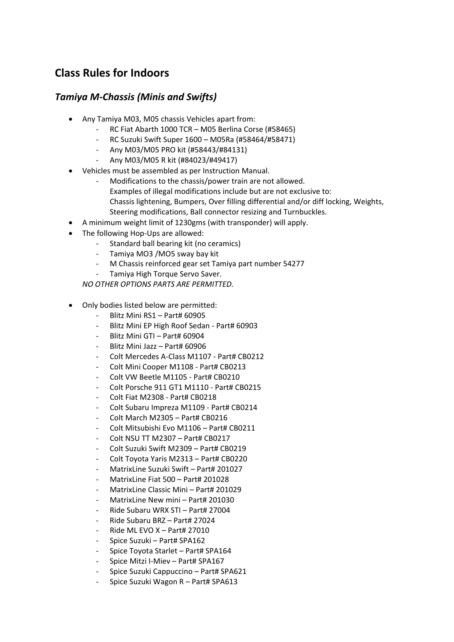# **Class Rules for Indoors**

## *Tamiya M‐Chassis (Minis and Swifts)*

- Any Tamiya M03, M05 chassis Vehicles apart from:
	- ‐ RC Fiat Abarth 1000 TCR M05 Berlina Corse (#58465)
	- ‐ RC Suzuki Swift Super 1600 M05Ra (#58464/#58471)
	- ‐ Any M03/M05 PRO kit (#58443/#84131)
	- ‐ Any M03/M05 R kit (#84023/#49417)
- Vehicles must be assembled as per Instruction Manual.
	- Modifications to the chassis/power train are not allowed. Examples of illegal modifications include but are not exclusive to: Chassis lightening, Bumpers, Over filling differential and/or diff locking, Weights, Steering modifications, Ball connector resizing and Turnbuckles.
- A minimum weight limit of 1230gms (with transponder) will apply.
- The following Hop-Ups are allowed:
	- ‐ Standard ball bearing kit (no ceramics)
	- ‐ Tamiya MO3 /MO5 sway bay kit
	- ‐ M Chassis reinforced gear set Tamiya part number 54277
	- ‐ Tamiya High Torque Servo Saver.

*NO OTHER OPTIONS PARTS ARE PERMITTED.*

- Only bodies listed below are permitted:
	- ‐ Blitz Mini RS1 Part# 60905
	- ‐ Blitz Mini EP High Roof Sedan ‐ Part# 60903
	- ‐ Blitz Mini GTI Part# 60904
	- ‐ Blitz Mini Jazz Part# 60906
	- ‐ Colt Mercedes A‐Class M1107 ‐ Part# CB0212
	- ‐ Colt Mini Cooper M1108 ‐ Part# CB0213
	- ‐ Colt VW Beetle M1105 ‐ Part# CB0210
	- ‐ Colt Porsche 911 GT1 M1110 ‐ Part# CB0215
	- ‐ Colt Fiat M2308 ‐ Part# CB0218
	- ‐ Colt Subaru Impreza M1109 ‐ Part# CB0214
	- ‐ Colt March M2305 Part# CB0216
	- ‐ Colt Mitsubishi Evo M1106 Part# CB0211
	- ‐ Colt NSU TT M2307 Part# CB0217
	- ‐ Colt Suzuki Swift M2309 Part# CB0219
	- ‐ Colt Toyota Yaris M2313 Part# CB0220
	- ‐ MatrixLine Suzuki Swift Part# 201027
	- ‐ MatrixLine Fiat 500 Part# 201028
	- ‐ MatrixLine Classic Mini Part# 201029
	- ‐ MatrixLine New mini Part# 201030
	- ‐ Ride Subaru WRX STI Part# 27004
	- ‐ Ride Subaru BRZ Part# 27024
	- ‐ Ride ML EVO X Part# 27010
	- ‐ Spice Suzuki Part# SPA162
	- ‐ Spice Toyota Starlet Part# SPA164
	- ‐ Spice Mitzi I‐Miev Part# SPA167
	- ‐ Spice Suzuki Cappuccino Part# SPA621
	- ‐ Spice Suzuki Wagon R Part# SPA613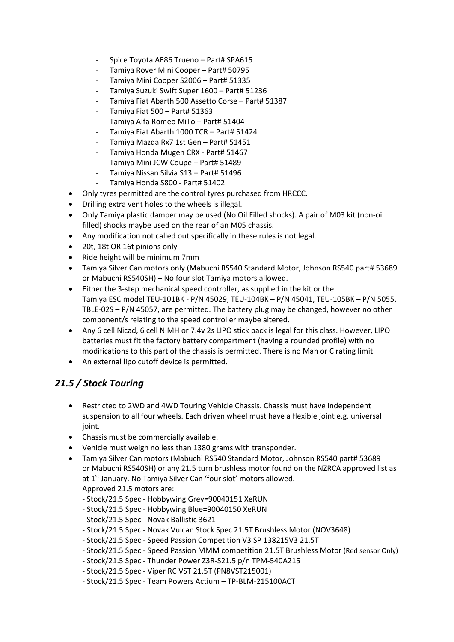- ‐ Spice Toyota AE86 Trueno Part# SPA615
- ‐ Tamiya Rover Mini Cooper Part# 50795
- ‐ Tamiya Mini Cooper S2006 Part# 51335
- ‐ Tamiya Suzuki Swift Super 1600 Part# 51236
- ‐ Tamiya Fiat Abarth 500 Assetto Corse Part# 51387
- ‐ Tamiya Fiat 500 Part# 51363
- ‐ Tamiya Alfa Romeo MiTo Part# 51404
- ‐ Tamiya Fiat Abarth 1000 TCR Part# 51424
- ‐ Tamiya Mazda Rx7 1st Gen Part# 51451
- ‐ Tamiya Honda Mugen CRX ‐ Part# 51467
- ‐ Tamiya Mini JCW Coupe Part# 51489
- ‐ Tamiya Nissan Silvia S13 Part# 51496
- ‐ Tamiya Honda S800 ‐ Part# 51402
- Only tyres permitted are the control tyres purchased from HRCCC.
- Drilling extra vent holes to the wheels is illegal.
- Only Tamiya plastic damper may be used (No Oil Filled shocks). A pair of M03 kit (non‐oil filled) shocks maybe used on the rear of an M05 chassis.
- Any modification not called out specifically in these rules is not legal.
- 20t, 18t OR 16t pinions only
- Ride height will be minimum 7mm
- Tamiya Silver Can motors only (Mabuchi RS540 Standard Motor, Johnson RS540 part# 53689 or Mabuchi RS540SH) – No four slot Tamiya motors allowed.
- Either the 3‐step mechanical speed controller, as supplied in the kit or the Tamiya ESC model TEU‐101BK ‐ P/N 45029, TEU‐104BK – P/N 45041, TEU‐105BK – P/N 5055, TBLE-02S – P/N 45057, are permitted. The battery plug may be changed, however no other component/s relating to the speed controller maybe altered.
- Any 6 cell Nicad, 6 cell NiMH or 7.4v 2s LIPO stick pack is legal for this class. However, LIPO batteries must fit the factory battery compartment (having a rounded profile) with no modifications to this part of the chassis is permitted. There is no Mah or C rating limit.
- An external lipo cutoff device is permitted.

## *21.5 / Stock Touring*

- Restricted to 2WD and 4WD Touring Vehicle Chassis. Chassis must have independent suspension to all four wheels. Each driven wheel must have a flexible joint e.g. universal joint.
- Chassis must be commercially available.
- Vehicle must weigh no less than 1380 grams with transponder.
- Tamiya Silver Can motors (Mabuchi RS540 Standard Motor, Johnson RS540 part# 53689 or Mabuchi RS540SH) or any 21.5 turn brushless motor found on the NZRCA approved list as at 1<sup>st</sup> January. No Tamiya Silver Can 'four slot' motors allowed. Approved 21.5 motors are:
	- ‐ Stock/21.5 Spec ‐ Hobbywing Grey=90040151 XeRUN
	- ‐ Stock/21.5 Spec ‐ Hobbywing Blue=90040150 XeRUN
	- ‐ Stock/21.5 Spec ‐ Novak Ballistic 3621
	- ‐ Stock/21.5 Spec ‐ Novak Vulcan Stock Spec 21.5T Brushless Motor (NOV3648)
	- ‐ Stock/21.5 Spec ‐ Speed Passion Competition V3 SP 138215V3 21.5T
	- ‐ Stock/21.5 Spec ‐ Speed Passion MMM competition 21.5T Brushless Motor (Red sensor Only)
	- ‐ Stock/21.5 Spec ‐ Thunder Power Z3R‐S21.5 p/n TPM‐540A215
	- ‐ Stock/21.5 Spec ‐ Viper RC VST 21.5T (PN8VST215001)
	- ‐ Stock/21.5 Spec ‐ Team Powers Actium TP‐BLM‐215100ACT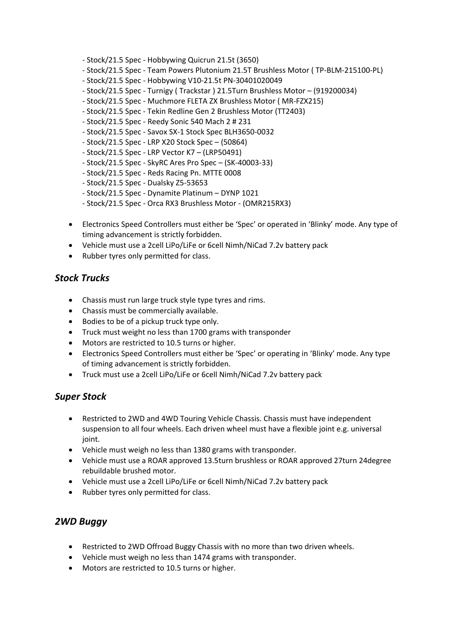- ‐ Stock/21.5 Spec ‐ Hobbywing Quicrun 21.5t (3650)
- ‐ Stock/21.5 Spec ‐ Team Powers Plutonium 21.5T Brushless Motor ( TP‐BLM‐215100‐PL)
- ‐ Stock/21.5 Spec ‐ Hobbywing V10‐21.5t PN‐30401020049
- ‐ Stock/21.5 Spec ‐ Turnigy ( Trackstar ) 21.5Turn Brushless Motor (919200034)
- ‐ Stock/21.5 Spec ‐ Muchmore FLETA ZX Brushless Motor ( MR‐FZX215)
- ‐ Stock/21.5 Spec ‐ Tekin Redline Gen 2 Brushless Motor (TT2403)
- ‐ Stock/21.5 Spec ‐ Reedy Sonic 540 Mach 2 # 231
- ‐ Stock/21.5 Spec ‐ Savox SX‐1 Stock Spec BLH3650‐0032
- ‐ Stock/21.5 Spec ‐ LRP X20 Stock Spec (50864)
- ‐ Stock/21.5 Spec ‐ LRP Vector K7 (LRP50491)
- ‐ Stock/21.5 Spec ‐ SkyRC Ares Pro Spec (SK‐40003‐33)
- ‐ Stock/21.5 Spec ‐ Reds Racing Pn. MTTE 0008
- ‐ Stock/21.5 Spec ‐ Dualsky Z5‐53653
- ‐ Stock/21.5 Spec ‐ Dynamite Platinum DYNP 1021
- ‐ Stock/21.5 Spec ‐ Orca RX3 Brushless Motor ‐ (OMR215RX3)
- Electronics Speed Controllers must either be 'Spec' or operated in 'Blinky' mode. Any type of timing advancement is strictly forbidden.
- Vehicle must use a 2cell LiPo/LiFe or 6cell Nimh/NiCad 7.2v battery pack
- Rubber tyres only permitted for class.

#### *Stock Trucks*

- Chassis must run large truck style type tyres and rims.
- Chassis must be commercially available.
- Bodies to be of a pickup truck type only.
- Truck must weight no less than 1700 grams with transponder
- Motors are restricted to 10.5 turns or higher.
- Electronics Speed Controllers must either be 'Spec' or operating in 'Blinky' mode. Any type of timing advancement is strictly forbidden.
- Truck must use a 2cell LiPo/LiFe or 6cell Nimh/NiCad 7.2v battery pack

## *Super Stock*

- Restricted to 2WD and 4WD Touring Vehicle Chassis. Chassis must have independent suspension to all four wheels. Each driven wheel must have a flexible joint e.g. universal joint.
- Vehicle must weigh no less than 1380 grams with transponder.
- Vehicle must use a ROAR approved 13.5turn brushless or ROAR approved 27turn 24degree rebuildable brushed motor.
- Vehicle must use a 2cell LiPo/LiFe or 6cell Nimh/NiCad 7.2v battery pack
- Rubber tyres only permitted for class.

## *2WD Buggy*

- Restricted to 2WD Offroad Buggy Chassis with no more than two driven wheels.
- Vehicle must weigh no less than 1474 grams with transponder.
- Motors are restricted to 10.5 turns or higher.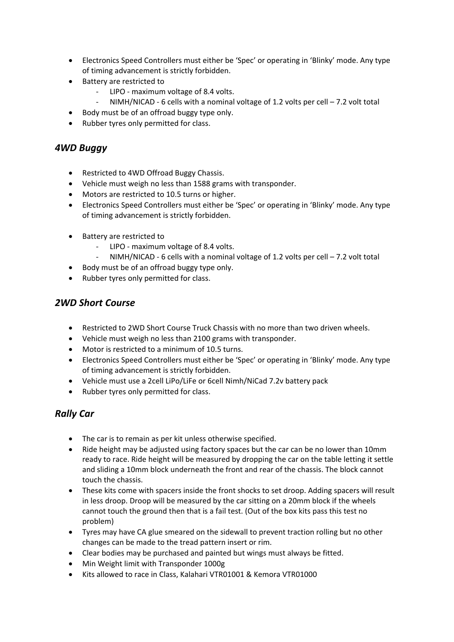- Electronics Speed Controllers must either be 'Spec' or operating in 'Blinky' mode. Any type of timing advancement is strictly forbidden.
- Battery are restricted to
	- ‐ LIPO ‐ maximum voltage of 8.4 volts.
	- NIMH/NICAD 6 cells with a nominal voltage of 1.2 volts per cell  $-7.2$  volt total
- Body must be of an offroad buggy type only.
- Rubber tyres only permitted for class.

#### *4WD Buggy*

- Restricted to 4WD Offroad Buggy Chassis.
- Vehicle must weigh no less than 1588 grams with transponder.
- Motors are restricted to 10.5 turns or higher.
- Electronics Speed Controllers must either be 'Spec' or operating in 'Blinky' mode. Any type of timing advancement is strictly forbidden.
- Battery are restricted to
	- ‐ LIPO ‐ maximum voltage of 8.4 volts.
	- NIMH/NICAD 6 cells with a nominal voltage of 1.2 volts per cell  $-7.2$  volt total
- Body must be of an offroad buggy type only.
- Rubber tyres only permitted for class.

## *2WD Short Course*

- Restricted to 2WD Short Course Truck Chassis with no more than two driven wheels.
- Vehicle must weigh no less than 2100 grams with transponder.
- Motor is restricted to a minimum of 10.5 turns.
- Electronics Speed Controllers must either be 'Spec' or operating in 'Blinky' mode. Any type of timing advancement is strictly forbidden.
- Vehicle must use a 2cell LiPo/LiFe or 6cell Nimh/NiCad 7.2v battery pack
- Rubber tyres only permitted for class.

## *Rally Car*

- The car is to remain as per kit unless otherwise specified.
- Ride height may be adjusted using factory spaces but the car can be no lower than 10mm ready to race. Ride height will be measured by dropping the car on the table letting it settle and sliding a 10mm block underneath the front and rear of the chassis. The block cannot touch the chassis.
- These kits come with spacers inside the front shocks to set droop. Adding spacers will result in less droop. Droop will be measured by the car sitting on a 20mm block if the wheels cannot touch the ground then that is a fail test. (Out of the box kits pass this test no problem)
- Tyres may have CA glue smeared on the sidewall to prevent traction rolling but no other changes can be made to the tread pattern insert or rim.
- Clear bodies may be purchased and painted but wings must always be fitted.
- Min Weight limit with Transponder 1000g
- Kits allowed to race in Class, Kalahari VTR01001 & Kemora VTR01000